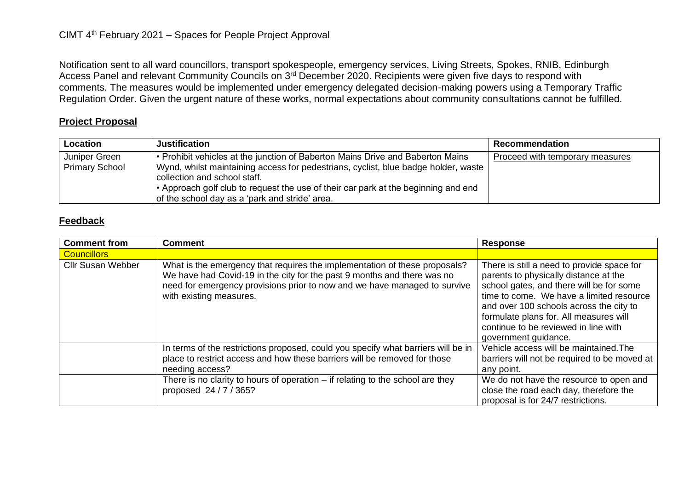Notification sent to all ward councillors, transport spokespeople, emergency services, Living Streets, Spokes, RNIB, Edinburgh Access Panel and relevant Community Councils on 3<sup>rd</sup> December 2020. Recipients were given five days to respond with comments. The measures would be implemented under emergency delegated decision-making powers using a Temporary Traffic Regulation Order. Given the urgent nature of these works, normal expectations about community consultations cannot be fulfilled.

## **Project Proposal**

| Location                               | <b>Justification</b>                                                                                                                                                                                                                                                                                                                         | Recommendation                  |
|----------------------------------------|----------------------------------------------------------------------------------------------------------------------------------------------------------------------------------------------------------------------------------------------------------------------------------------------------------------------------------------------|---------------------------------|
| Juniper Green<br><b>Primary School</b> | • Prohibit vehicles at the junction of Baberton Mains Drive and Baberton Mains<br>Wynd, whilst maintaining access for pedestrians, cyclist, blue badge holder, waste<br>collection and school staff.<br>• Approach golf club to request the use of their car park at the beginning and end<br>of the school day as a 'park and stride' area. | Proceed with temporary measures |

## **Feedback**

| <b>Comment from</b>      | <b>Comment</b>                                                                                                                                                                                                                                                | <b>Response</b>                                                                                                                                                                                                                                                                                                                  |
|--------------------------|---------------------------------------------------------------------------------------------------------------------------------------------------------------------------------------------------------------------------------------------------------------|----------------------------------------------------------------------------------------------------------------------------------------------------------------------------------------------------------------------------------------------------------------------------------------------------------------------------------|
| <b>Councillors</b>       |                                                                                                                                                                                                                                                               |                                                                                                                                                                                                                                                                                                                                  |
| <b>Cllr Susan Webber</b> | What is the emergency that requires the implementation of these proposals?<br>We have had Covid-19 in the city for the past 9 months and there was no<br>need for emergency provisions prior to now and we have managed to survive<br>with existing measures. | There is still a need to provide space for<br>parents to physically distance at the<br>school gates, and there will be for some<br>time to come. We have a limited resource<br>and over 100 schools across the city to<br>formulate plans for. All measures will<br>continue to be reviewed in line with<br>government guidance. |
|                          | In terms of the restrictions proposed, could you specify what barriers will be in                                                                                                                                                                             | Vehicle access will be maintained. The                                                                                                                                                                                                                                                                                           |
|                          | place to restrict access and how these barriers will be removed for those                                                                                                                                                                                     | barriers will not be required to be moved at                                                                                                                                                                                                                                                                                     |
|                          | needing access?                                                                                                                                                                                                                                               | any point.                                                                                                                                                                                                                                                                                                                       |
|                          | There is no clarity to hours of operation $-$ if relating to the school are they<br>proposed 24/7/365?                                                                                                                                                        | We do not have the resource to open and<br>close the road each day, therefore the<br>proposal is for 24/7 restrictions.                                                                                                                                                                                                          |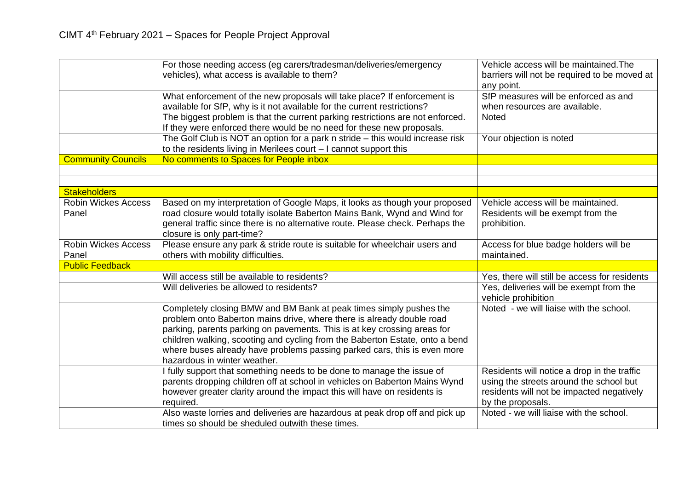|                                     | For those needing access (eg carers/tradesman/deliveries/emergency<br>vehicles), what access is available to them?                                                                                                                                                                                                                                                                                                  | Vehicle access will be maintained. The<br>barriers will not be required to be moved at<br>any point.                                                     |
|-------------------------------------|---------------------------------------------------------------------------------------------------------------------------------------------------------------------------------------------------------------------------------------------------------------------------------------------------------------------------------------------------------------------------------------------------------------------|----------------------------------------------------------------------------------------------------------------------------------------------------------|
|                                     | What enforcement of the new proposals will take place? If enforcement is<br>available for SfP, why is it not available for the current restrictions?                                                                                                                                                                                                                                                                | SfP measures will be enforced as and<br>when resources are available.                                                                                    |
|                                     | The biggest problem is that the current parking restrictions are not enforced.<br>If they were enforced there would be no need for these new proposals.                                                                                                                                                                                                                                                             | <b>Noted</b>                                                                                                                                             |
|                                     | The Golf Club is NOT an option for a park n stride – this would increase risk<br>to the residents living in Merilees court $-1$ cannot support this                                                                                                                                                                                                                                                                 | Your objection is noted                                                                                                                                  |
| <b>Community Councils</b>           | No comments to Spaces for People inbox                                                                                                                                                                                                                                                                                                                                                                              |                                                                                                                                                          |
|                                     |                                                                                                                                                                                                                                                                                                                                                                                                                     |                                                                                                                                                          |
| <b>Stakeholders</b>                 |                                                                                                                                                                                                                                                                                                                                                                                                                     |                                                                                                                                                          |
| <b>Robin Wickes Access</b><br>Panel | Based on my interpretation of Google Maps, it looks as though your proposed<br>road closure would totally isolate Baberton Mains Bank, Wynd and Wind for<br>general traffic since there is no alternative route. Please check. Perhaps the<br>closure is only part-time?                                                                                                                                            | Vehicle access will be maintained.<br>Residents will be exempt from the<br>prohibition.                                                                  |
| <b>Robin Wickes Access</b><br>Panel | Please ensure any park & stride route is suitable for wheelchair users and<br>others with mobility difficulties.                                                                                                                                                                                                                                                                                                    | Access for blue badge holders will be<br>maintained.                                                                                                     |
| <b>Public Feedback</b>              |                                                                                                                                                                                                                                                                                                                                                                                                                     |                                                                                                                                                          |
|                                     | Will access still be available to residents?                                                                                                                                                                                                                                                                                                                                                                        | Yes, there will still be access for residents                                                                                                            |
|                                     | Will deliveries be allowed to residents?                                                                                                                                                                                                                                                                                                                                                                            | Yes, deliveries will be exempt from the<br>vehicle prohibition                                                                                           |
|                                     | Completely closing BMW and BM Bank at peak times simply pushes the<br>problem onto Baberton mains drive, where there is already double road<br>parking, parents parking on pavements. This is at key crossing areas for<br>children walking, scooting and cycling from the Baberton Estate, onto a bend<br>where buses already have problems passing parked cars, this is even more<br>hazardous in winter weather. | Noted - we will liaise with the school.                                                                                                                  |
|                                     | I fully support that something needs to be done to manage the issue of<br>parents dropping children off at school in vehicles on Baberton Mains Wynd<br>however greater clarity around the impact this will have on residents is<br>required.                                                                                                                                                                       | Residents will notice a drop in the traffic<br>using the streets around the school but<br>residents will not be impacted negatively<br>by the proposals. |
|                                     | Also waste lorries and deliveries are hazardous at peak drop off and pick up<br>times so should be sheduled outwith these times.                                                                                                                                                                                                                                                                                    | Noted - we will liaise with the school.                                                                                                                  |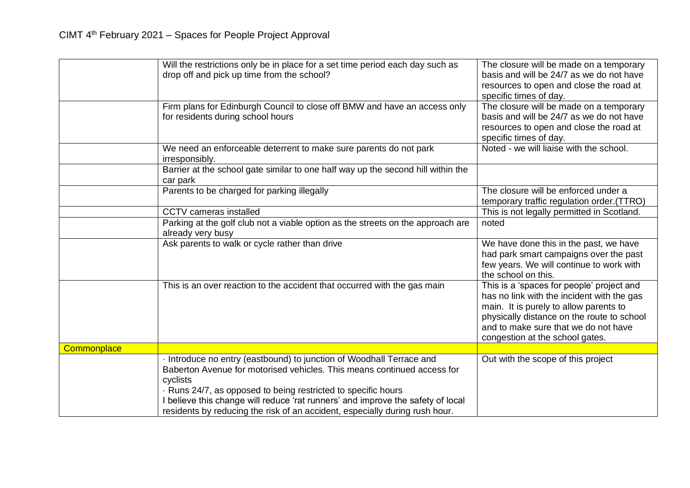|             | Will the restrictions only be in place for a set time period each day such as<br>drop off and pick up time from the school?                                                                                                                                                                                                                                                                | The closure will be made on a temporary<br>basis and will be 24/7 as we do not have<br>resources to open and close the road at<br>specific times of day.                                                                                                   |
|-------------|--------------------------------------------------------------------------------------------------------------------------------------------------------------------------------------------------------------------------------------------------------------------------------------------------------------------------------------------------------------------------------------------|------------------------------------------------------------------------------------------------------------------------------------------------------------------------------------------------------------------------------------------------------------|
|             | Firm plans for Edinburgh Council to close off BMW and have an access only<br>for residents during school hours                                                                                                                                                                                                                                                                             | The closure will be made on a temporary<br>basis and will be 24/7 as we do not have<br>resources to open and close the road at<br>specific times of day.                                                                                                   |
|             | We need an enforceable deterrent to make sure parents do not park<br>irresponsibly.                                                                                                                                                                                                                                                                                                        | Noted - we will liaise with the school.                                                                                                                                                                                                                    |
|             | Barrier at the school gate similar to one half way up the second hill within the<br>car park                                                                                                                                                                                                                                                                                               |                                                                                                                                                                                                                                                            |
|             | Parents to be charged for parking illegally                                                                                                                                                                                                                                                                                                                                                | The closure will be enforced under a<br>temporary traffic regulation order. (TTRO)                                                                                                                                                                         |
|             | <b>CCTV</b> cameras installed                                                                                                                                                                                                                                                                                                                                                              | This is not legally permitted in Scotland.                                                                                                                                                                                                                 |
|             | Parking at the golf club not a viable option as the streets on the approach are<br>already very busy                                                                                                                                                                                                                                                                                       | noted                                                                                                                                                                                                                                                      |
|             | Ask parents to walk or cycle rather than drive                                                                                                                                                                                                                                                                                                                                             | We have done this in the past, we have<br>had park smart campaigns over the past<br>few years. We will continue to work with<br>the school on this.                                                                                                        |
|             | This is an over reaction to the accident that occurred with the gas main                                                                                                                                                                                                                                                                                                                   | This is a 'spaces for people' project and<br>has no link with the incident with the gas<br>main. It is purely to allow parents to<br>physically distance on the route to school<br>and to make sure that we do not have<br>congestion at the school gates. |
| Commonplace |                                                                                                                                                                                                                                                                                                                                                                                            |                                                                                                                                                                                                                                                            |
|             | Introduce no entry (eastbound) to junction of Woodhall Terrace and<br>Baberton Avenue for motorised vehicles. This means continued access for<br>cyclists<br>Runs 24/7, as opposed to being restricted to specific hours<br>I believe this change will reduce 'rat runners' and improve the safety of local<br>residents by reducing the risk of an accident, especially during rush hour. | Out with the scope of this project                                                                                                                                                                                                                         |